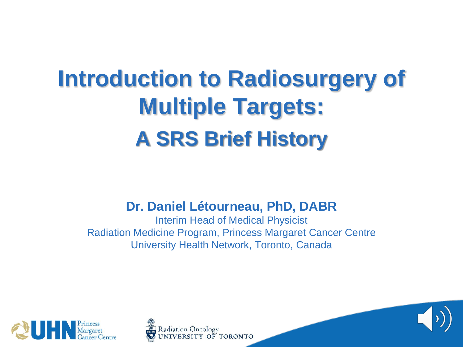### **Introduction to Radiosurgery of Multiple Targets: A SRS Brief History**

**Dr. Daniel Létourneau, PhD, DABR**

Interim Head of Medical Physicist Radiation Medicine Program, Princess Margaret Cancer Centre University Health Network, Toronto, Canada





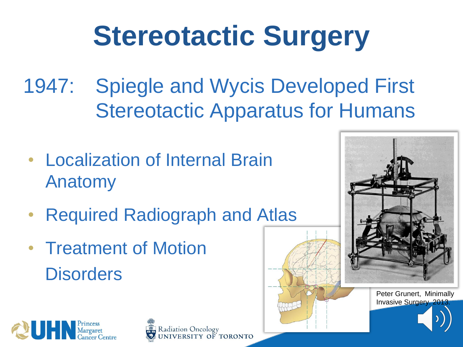# **Stereotactic Surgery**

- 1947: Spiegle and Wycis Developed First Stereotactic Apparatus for Humans
- Localization of Internal Brain Anatomy
- **Required Radiograph and Atlas**
- Treatment of Motion **Disorders**



Invasive Surgery. 201



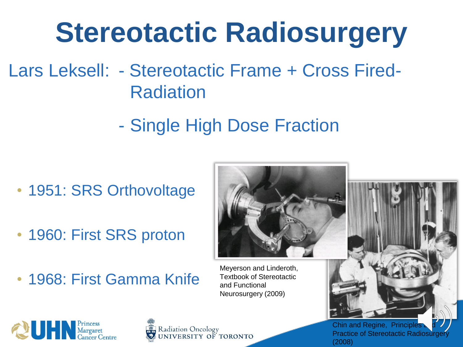# **Stereotactic Radiosurgery**

- Lars Leksell: Stereotactic Frame + Cross Fired-Radiation
	- Single High Dose Fraction

- 1951: SRS Orthovoltage
- 1960: First SRS proton
- 1968: First Gamma Knife

Meyerson and Linderoth, Textbook of Stereotactic and Functional Neurosurgery (2009)



Radiation Oncology UNIVERSITY OF TORONTO Chin and Regine, Principles **Practice of Stereotactic Radiosurgery** (2008)

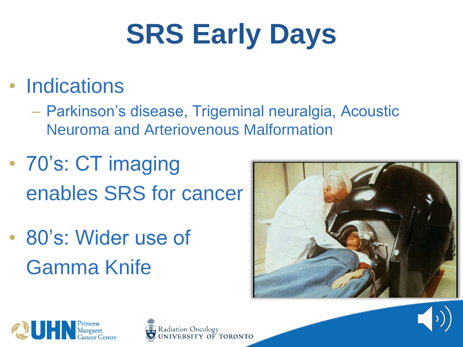# **SRS Early Days**

#### • Indications

– Parkinson's disease, Trigeminal neuralgia, Acoustic Neuroma and Arteriovenous Malformation

- 70's: CT imaging enables SRS for cancer
- 80's: Wider use of Gamma Knife







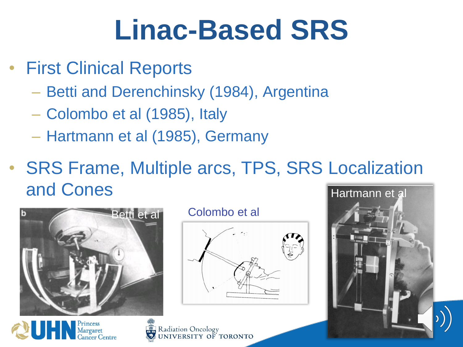- **First Clinical Reports** 
	- Betti and Derenchinsky (1984), Argentina
	- Colombo et al (1985), Italy
	- Hartmann et al (1985), Germany
- SRS Frame, Multiple arcs, TPS, SRS Localization and Cones Hartmann et al





Radiation Oncology<br>UNIVERSITY OF TORONTO

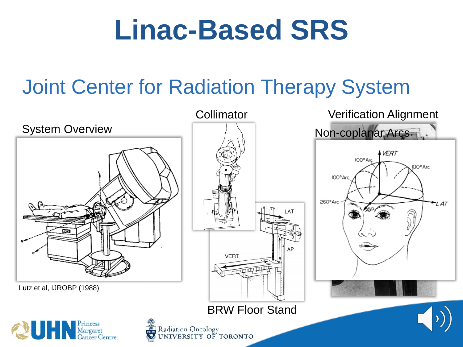### Joint Center for Radiation Therapy System

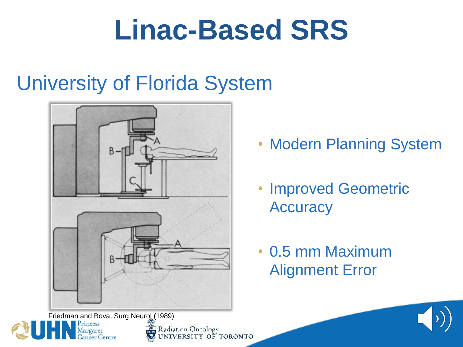#### University of Florida System



**Modern Planning System** 

- Improved Geometric **Accuracy**
- 0.5 mm Maximum Alignment Error



Radiation Oncology<br>WUNIVERSITY OF TORONTO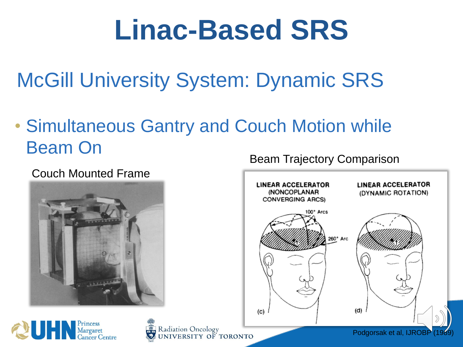McGill University System: Dynamic SRS

• Simultaneous Gantry and Couch Motion while Beam On

#### Couch Mounted Frame





Radiation Oncology UNIVERSITY OF TORONTO

Beam Trajectory Comparison

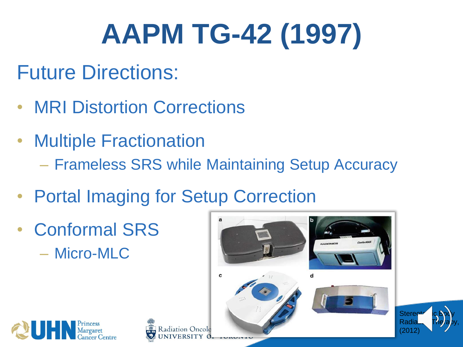# **AAPM TG-42 (1997)**

- Future Directions:
- MRI Distortion Corrections
- Multiple Fractionation
	- Frameless SRS while Maintaining Setup Accuracy
- Portal Imaging for Setup Correction
- Conformal SRS – Micro-MLC